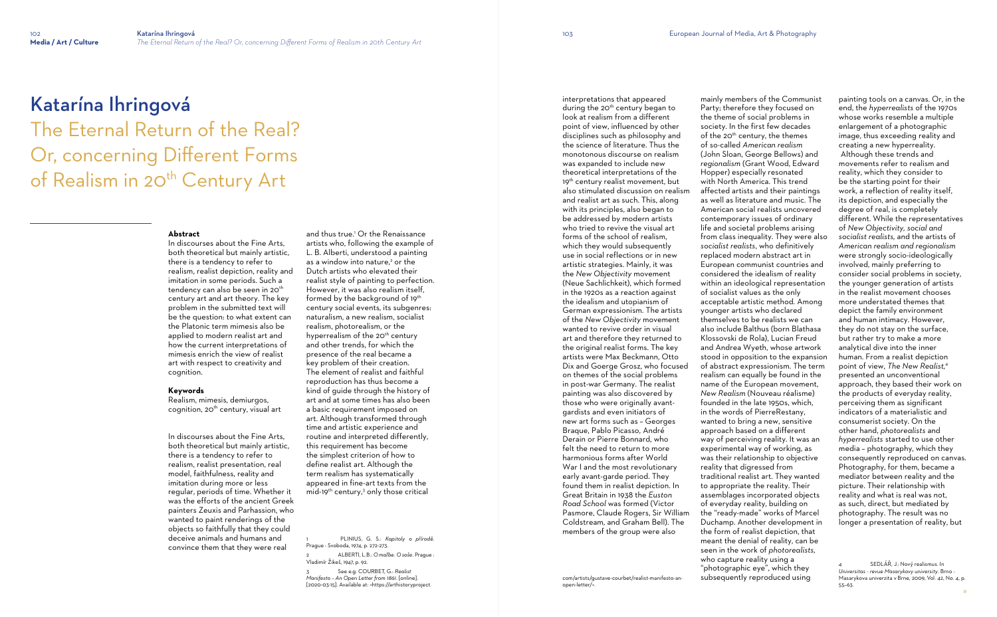# The Eternal Return of the Real? Or, concerning Different Forms of Realism in 20<sup>th</sup> Century Art

# Katarína Ihringová

#### **Abstract**

Realism, mimesis, demiurgos, cognition,  $20<sup>th</sup>$  century, visual art

In discourses about the Fine Arts, both theoretical but mainly artistic, there is a tendency to refer to realism, realist depiction, reality and imitation in some periods. Such a tendency can also be seen in 20th century art and art theory. The key problem in the submitted text will be the question: to what extent can the Platonic term mimesis also be applied to modern realist art and how the current interpretations of mimesis enrich the view of realist art with respect to creativity and cognition.

and thus true.<sup>1</sup> Or the Renaissance artists who, following the example of L. B. Alberti, understood a painting as a window into nature,<sup>2</sup> or the Dutch artists who elevated their realist style of painting to perfection. However, it was also realism itself, formed by the background of 19<sup>th</sup> century social events, its subgenres: naturalism, a new realism, socialist realism, photorealism, or the hyperrealism of the 20<sup>th</sup> century and other trends, for which the presence of the real became a key problem of their creation. The element of realist and faithful reproduction has thus become a kind of guide through the history of art and at some times has also been a basic requirement imposed on art. Although transformed through time and artistic experience and routine and interpreted differently, this requirement has become the simplest criterion of how to define realist art. Although the term realism has systematically appeared in fine-art texts from the mid-19<sup>th</sup> century,<sup>3</sup> only those critical

#### **Keywords**

In discourses about the Fine Arts, both theoretical but mainly artistic, there is a tendency to refer to realism, realist presentation, real model, faithfulness, reality and imitation during more or less regular, periods of time. Whether it was the efforts of the ancient Greek painters Zeuxis and Parhassion, who wanted to paint renderings of the objects so faithfully that they could deceive animals and humans and convince them that they were real

1 PLINIUS, G. S.: *Kapitoly o přírodě*. Prague : Svoboda, 1974, p. 272-273.

2 ALBERTI, L.B.: *O maľbe. O soše*. Prague : Vladimír Žikeš, 1947, p. 92.

3 See e.g. COURBET, G.: *Realist Manifesto – An Open Letter from 1861*. [online]. [2020-03-15]. Available at: [<https://arthistoryproject.](https://arthistoryproject.com/artists/gustave-courbet/realist-manifesto-an-open-letter/) interpretations that appeared during the 20<sup>th</sup> century began to look at realism from a different point of view, influenced by other disciplines such as philosophy and the science of literature. Thus the monotonous discourse on realism was expanded to include new theoretical interpretations of the 19<sup>th</sup> century realist movement, but also stimulated discussion on realism and realist art as such. This, along with its principles, also began to be addressed by modern artists who tried to revive the visual art forms of the school of realism, which they would subsequently use in social reflections or in new artistic strategies. Mainly, it was the *New Objectivity* movement (Neue Sachlichkeit), which formed in the 1920s as a reaction against the idealism and utopianism of German expressionism. The artists of the *New Objectivity* movement wanted to revive order in visual art and therefore they returned to the original realist forms. The key artists were Max Beckmann, Otto Dix and Goerge Grosz, who focused on themes of the social problems in post-war Germany. The realist painting was also discovered by those who were originally avantgardists and even initiators of new art forms such as – Georges Braque, Pablo Picasso, André Derain or Pierre Bonnard, who felt the need to return to more harmonious forms after World War I and the most revolutionary early avant-garde period. They found them in realist depiction. In Great Britain in 1938 the *Euston Road School* was formed (Victor Pasmore, Claude Rogers, Sir William Coldstream, and Graham Bell). The members of the group were also

> SEDLÁŘ, J.: Nový realismus. In *Universitas - revue Masarykovy university*. Brno : Masarykova univerzita v Brne, 2009, Vol. 42, No. 4, p. 55–63.

[com/artists/gustave-courbet/realist-manifesto-an-](https://arthistoryproject.com/artists/gustave-courbet/realist-manifesto-an-open-letter/)

[open-letter/](https://arthistoryproject.com/artists/gustave-courbet/realist-manifesto-an-open-letter/)>.

mainly members of the Communist Party; therefore they focused on the theme of social problems in society. In the first few decades of the 20<sup>th</sup> century, the themes of so-called *American realism* (John Sloan, George Bellows) and *regionalism* (Grant Wood, Edward Hopper) especially resonated with North America. This trend affected artists and their paintings as well as literature and music. The American social realists uncovered contemporary issues of ordinary life and societal problems arising from class inequality. They were also *socialist realists*, who definitively replaced modern abstract art in European communist countries and considered the idealism of reality within an ideological representation of socialist values as the only acceptable artistic method. Among younger artists who declared themselves to be realists we can also include Balthus (born Blathasa Klossovski de Rola), Lucian Freud and Andrea Wyeth, whose artwork stood in opposition to the expansion of abstract expressionism. The term realism can equally be found in the name of the European movement, *New Realism* (Nouveau réalisme) founded in the late 1950s, which, in the words of PierreRestany, wanted to bring a new, sensitive approach based on a different way of perceiving reality. It was an experimental way of working, as was their relationship to objective reality that digressed from traditional realist art. They wanted to appropriate the reality. Their assemblages incorporated objects of everyday reality, building on the "ready-made" works of Marcel Duchamp. Another development in the form of realist depiction, that meant the denial of reality, can be seen in the work of *photorealists,*  who capture reality using a "photographic eye", which they subsequently reproduced using

painting tools on a canvas. Or, in the end, the *hyperrealists* of the 1970s whose works resemble a multiple enlargement of a photographic image, thus exceeding reality and creating a new hyperreality. Although these trends and movements refer to realism and reality, which they consider to be the starting point for their work, a reflection of reality itself, its depiction, and especially the degree of real, is completely different. While the representatives of *New Objectivity, social and socialist realists,* and the artists of *American realism and regionalism*  were strongly socio-ideologically involved, mainly preferring to consider social problems in society, the younger generation of artists in the realist movement chooses more understated themes that depict the family environment and human intimacy. However, they do not stay on the surface, but rather try to make a more analytical dive into the inner human. From a realist depiction point of view, *The New Realist,* 4 presented an unconventional approach, they based their work on the products of everyday reality, perceiving them as significant indicators of a materialistic and consumerist society. On the other hand, *photorealists* and *hyperrealists* started to use other media – photography, which they consequently reproduced on canvas. Photography, for them, became a mediator between reality and the picture. Their relationship with reality and what is real was not, as such, direct, but mediated by photography. The result was no longer a presentation of reality, but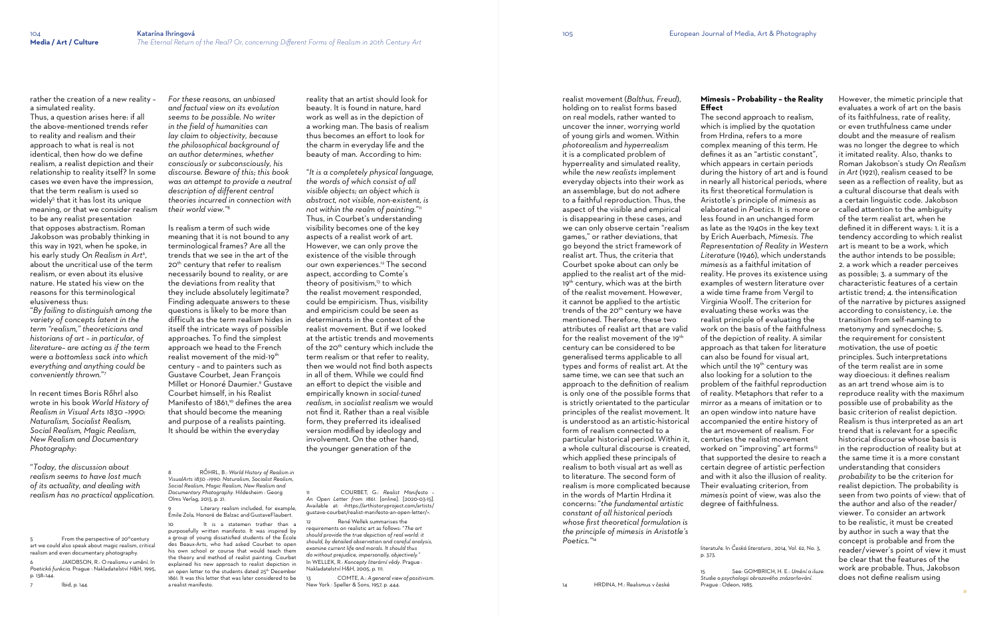rather the creation of a new reality – a simulated reality.

Thus, a question arises here: if all the above-mentioned trends refer to reality and realism and their approach to what is real is not identical, then how do we define realism, a realist depiction and their relationship to reality itself? In some cases we even have the impression, that the term realism is used so widely<sup>5</sup> that it has lost its unique meaning, or that we consider realism to be any realist presentation that opposes abstractism. Roman Jakobson was probably thinking in this way in 1921, when he spoke, in his early study *On Realism in Art*<sup>6</sup> , about the uncritical use of the term realism, or even about its elusive nature. He stated his view on the reasons for this terminological elusiveness thus:

5 From the perspective of 20<sup>th</sup>century art we could also speak about magic realism, critical realism and even documentary photography.

JAKOBSON, R.: O realismu v umění. In *Poetická funkcia*. Prague : Nakladatelství H&H, 1995, p. 138–144.

"*By failing to distinguish among the variety of concepts latent in the term "realism," theoreticians and historians of art – in particular, of literature– are acting as if the term were a bottomless sack into which everything and anything could be conveniently thrown.*" 7

In recent times Boris Rőhrl also wrote in his book *World History of Realism in Visual Arts 1830 –1990: Naturalism, Socialist Realism, Social Realism, Magic Realism, New Realism and Documentary Photography*:

"*Today, the discussion about realism seems to have lost much of its actuality, and dealing with realism has no practical application.* 

> Literary realism included, for example, Émile Zola, Honoré de Balzac and GustaveFlaubert.

7 Ibid, p. 144.

10 It is a statemen trather than a purposefully written manifesto. It was inspired by a group of young dissatisfied students of the École des Beaux-Arts, who had asked Courbet to open his own school or course that would teach them the theory and method of realist painting. Courbet explained his new approach to realist depiction in an open letter to the students dated 25<sup>th</sup> December 1861. It was this letter that was later considered to be a realist manifesto.

*For these reasons, an unbiased and factual view on its evolution seems to be possible. No writer in the field of humanities can lay claim to objectivity, because the philosophical background of an author determines, whether consciously or subconsciously, his discourse. Beware of this; this book was an attempt to provide a neutral description of different central theories incurred in connection with their world view."*<sup>8</sup>

Is realism a term of such wide meaning that it is not bound to any terminological frames? Are all the trends that we see in the art of the 20<sup>th</sup> century that refer to realism necessarily bound to reality, or are the deviations from reality that they include absolutely legitimate? Finding adequate answers to these questions is likely to be more than difficult as the term realism hides in itself the intricate ways of possible approaches. To find the simplest approach we head to the French realist movement of the mid-19<sup>th</sup> century – and to painters such as Gustave Courbet, Jean François Millet or Honoré Daumier.<sup>9</sup> Gustave Courbet himself, in his Realist Manifesto of 1861,<sup>10</sup> defines the area that should become the meaning and purpose of a realists painting. It should be within the everyday

> René Wellek summarises the requirements on realistic art as follows: "*The art should provide the true depiction of real world: it should, by detailed observation and careful analysis, examine current life and morals. It should thus do without prejudice, impersonally, objectively."*  In WELLEK, R.: *Koncepty literární vědy*. Prague : Nakladatelství H&H, 2005, p. 111.

8 RŐHRL, B.: *World History of Realism in VisualArts 1830 –1990: Naturalism, Socialist Realism, Social Realism, Magic Realism, New Realism and Documentary Photography*. Hildesheim : Georg Olms Verlag, 2013, p. 21.

reality that an artist should look for beauty. It is found in nature, hard work as well as in the depiction of a working man. The basis of realism thus becomes an effort to look for the charm in everyday life and the beauty of man. According to him:

"*It is a completely physical language, the words of which consist of all visible objects; an object which is abstract, not visible, non-existent, is not within the realm of painting.*" 11 Thus, in Courbet's understanding visibility becomes one of the key aspects of a realist work of art. However, we can only prove the existence of the visible through our own experiences.<sup>12</sup> The second aspect, according to Comte's theory of positivism,<sup>13</sup> to which the realist movement responded, could be empiricism. Thus, visibility and empiricism could be seen as determinants in the context of the realist movement. But if we looked at the artistic trends and movements of the 20<sup>th</sup> century which include the term realism or that refer to reality, then we would not find both aspects in all of them. While we could find an effort to depict the visible and empirically known in *social-tuned realism*, in *socialist realism* we would not find it. Rather than a real visible form, they preferred its idealised version modified by ideology and involvement. On the other hand, the younger generation of the

11 COURBET, G.: *Realist Manifesto – An Open Letter from 1861*. [online]. [2020-03-15]. Available at: <[https://arthistoryproject.com/artists/](https://arthistoryproject.com/artists/gustave-courbet/realist-manifesto-an-open-letter/) [gustave-courbet/realist-manifesto-an-open-letter/](https://arthistoryproject.com/artists/gustave-courbet/realist-manifesto-an-open-letter/)>.

13 COMTE, A.: *A general view of positivism*. New York : Speller & Sons, 1957, p. 444.

realist movement (*Balthus, Freud*), holding on to realist forms based on real models, rather wanted to uncover the inner, worrying world of young girls and women. Within *photorealism* and *hyperrealism* it is a complicated problem of hyperreality and simulated reality, while the *new realists* implement everyday objects into their work as an assemblage, but do not adhere to a faithful reproduction. Thus, the aspect of the visible and empirical is disappearing in these cases, and we can only observe certain "realism games," or rather deviations, that go beyond the strict framework of realist art. Thus, the criteria that Courbet spoke about can only be applied to the realist art of the mid-19<sup>th</sup> century, which was at the birth of the realist movement. However, it cannot be applied to the artistic trends of the 20<sup>th</sup> century we have mentioned. Therefore, these two attributes of realist art that are valid for the realist movement of the 19<sup>th</sup> century can be considered to be generalised terms applicable to all types and forms of realist art. At the same time, we can see that such an approach to the definition of realism is only one of the possible forms that is strictly orientated to the particular principles of the realist movement. It is understood as an artistic-historical form of realism connected to a particular historical period. Within it, a whole cultural discourse is created, which applied these principals of realism to both visual art as well as to literature. The second form of realism is more complicated because in the words of Martin Hrdina it concerns: "*the fundamental artistic constant of all historical periods whose first theoretical formulation is the principle of mimesis in Aristotle's Poetics."*<sup>14</sup>

14 HRDINA, M.: Realismus v české

## **Mimesis – Probability – the Reality Effect**

The second approach to realism, which is implied by the quotation from Hrdina, refers to a more complex meaning of this term. He defines it as an "artistic constant", which appears in certain periods during the history of art and is found in nearly all historical periods, where its first theoretical formulation is Aristotle's principle of *mimesis* as elaborated in *Poetics.* It is more or less found in an unchanged form as late as the 1940s in the key text by Erich Auerbach, *Mimesis. The Representation of Reality in Western Literature* (1946), which understands *mimesis* as a faithful imitation of reality. He proves its existence using examples of western literature over a wide time frame from Vergil to Virginia Woolf. The criterion for evaluating these works was the realist principle of evaluating the work on the basis of the faithfulness of the depiction of reality. A similar approach as that taken for literature can also be found for visual art, which until the 19<sup>th</sup> century was also looking for a solution to the problem of the faithful reproduction of reality. Metaphors that refer to a mirror as a means of imitation or to an open window into nature have accompanied the entire history of the art movement of realism. For centuries the realist movement worked on "improving" art forms<sup>15</sup> that supported the desire to reach a certain degree of artistic perfection and with it also the illusion of reality. Their evaluating criterion, from *mimesis* point of view, was also the degree of faithfulness.

literatuře*.* In *Česká literatura ,* 2014, Vol. 62, No. 3, p. 373.

Prague : Odeon, 1985.

However, the mimetic principle that evaluates a work of art on the basis of its faithfulness, rate of reality, or even truthfulness came under doubt and the measure of realism was no longer the degree to which it imitated reality. Also, thanks to Roman Jakobson's study *On Realism in Art* (1921), realism ceased to be seen as a reflection of reality, but as a cultural discourse that deals with a certain linguistic code. Jakobson called attention to the ambiguity of the term realist art, when he defined it in different ways: 1. it is a tendency according to which realist art is meant to be a work, which the author intends to be possible; 2. a work which a reader perceives as possible; 3. a summary of the characteristic features of a certain artistic trend; 4. the intensification of the narrative by pictures assigned according to consistency, i.e. the transition from self-naming to metonymy and synecdoche; 5. the requirement for consistent motivation, the use of poetic principles. Such interpretations of the term realist are in some way dioecious: it defines realism as an art trend whose aim is to reproduce reality with the maximum possible use of probability as the basic criterion of realist depiction. Realism is thus interpreted as an art trend that is relevant for a specific historical discourse whose basis is in the reproduction of reality but at the same time it is a more constant understanding that considers *probability* to be the criterion for realist depiction. The probability is seen from two points of view: that of the author and also of the reader/ viewer. To consider an artwork to be realistic, it must be created by author in such a way that the concept is probable and from the reader/viewer's point of view it must be clear that the features of the work are probable. Thus, Jakobson does not define realism using

<sup>15</sup> See: GOMBRICH, H. E.: *Umění a iluze. Studie o psychologii obrazového znázorňování*.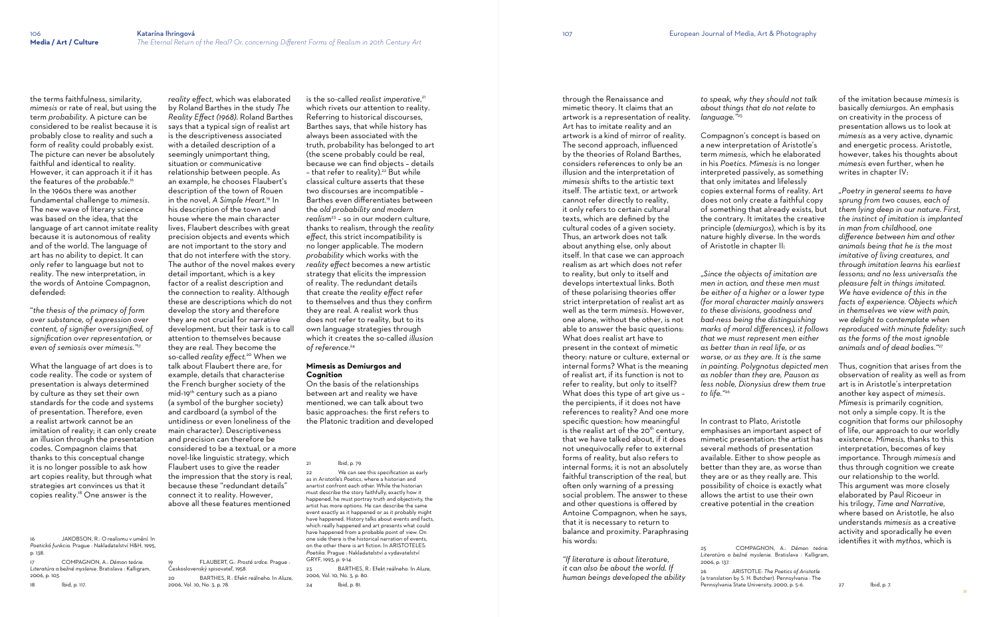the terms faithfulness, similarity, *mimesis* or rate of real, but using the term *probability*. A picture can be considered to be realist because it is probably close to reality and such a form of reality could probably exist. The picture can never be absolutely faithful and identical to reality. However, it can approach it if it has the features of the *probable*. 16 In the 1960s there was another fundamental challenge to *mimesis*. The new wave of literary science was based on the idea, that the language of art cannot imitate reality because it is autonomous of reality and of the world. The language of art has no ability to depict. It can only refer to language but not to reality. The new interpretation, in the words of Antoine Compagnon, defended:

"*the thesis of the primacy of form over substance, of expression over content, of signifier oversignified, of signification over representation, or even of semiosis over mimesis."*<sup>17</sup>

What the language of art does is to code reality. The code or system of presentation is always determined by culture as they set their own standards for the code and systems of presentation. Therefore, even a realist artwork cannot be an imitation of reality; it can only create an illusion through the presentation codes. Compagnon claims that thanks to this conceptual change it is no longer possible to ask how art copies reality, but through what strategies art convinces us that it copies reality.18 One answer is the

16 JAKOBSON, R.: O realismu v umění. In *Poetická funkcia*. Prague : Nakladatelství H&H, 1995,

p. 138.

17 COMPAGNON, A.: *Démon teórie. Literatúra a bežné myslenie*. Bratislava : Kalligram, 2006, p. 103.

18 Ibid, p. 117.

*reality effect*, which was elaborated by Roland Barthes in the study *The Reality Effect (1968)*. Roland Barthes says that a typical sign of realist art is the descriptiveness associated with a detailed description of a seemingly unimportant thing, situation or communicative relationship between people. As an example, he chooses Flaubert's description of the town of Rouen in the novel, *A Simple Heart.*19 In his description of the town and house where the main character lives, Flaubert describes with great precision objects and events which are not important to the story and that do not interfere with the story. The author of the novel makes every detail important, which is a key factor of a realist description and the connection to reality. Although these are descriptions which do not develop the story and therefore they are not crucial for narrative development, but their task is to call attention to themselves because they are real. They become the so-called *reality effect.*20 When we talk about Flaubert there are, for example, details that characterise the French burgher society of the mid-19th century such as a piano (a symbol of the burgher society) and cardboard (a symbol of the untidiness or even loneliness of the main character). Descriptiveness and precision can therefore be considered to be a textual, or a more novel-like linguistic strategy, which Flaubert uses to give the reader the impression that the story is real, because these "redundant details" connect it to reality. However, above all these features mentioned

We can see this specification as early as in Aristotle's *Poetics*, where a historian and anartist confront each other. While the historian must describe the story faithfully, exactly how it happened, he must portray truth and objectivity, the artist has more options. He can describe the same event exactly as it happened or as it probably might have happened. History talks about events and facts, which really happened and art presents what could have happened from a probable point of view. On one side there is the historical narration of events, on the other there is art fiction. In ARISTOTELES: *Poetika*. Prague : Nakladatelství a vydavatelství GRYF, 1993, p. 9-14.

19 FLAUBERT, G.: *Prosté srdce*. Prague :

Československý spisovateľ, 1958.

20 BARTHES, R.: Efekt reálneho. In *Aluze,* 

2006, Vol. 10, No. 3, p. 78.

is the so-called *realist imperative*, 21 which rivets our attention to reality. Referring to historical discourses, Barthes says, that while history has always been associated with the truth, probability has belonged to art (the scene probably could be real, because we can find objects – details - that refer to reality).<sup>22</sup> But while classical culture asserts that these two discourses are incompatible – Barthes even differentiates between the *old probability and modern realism*<sup>23</sup> – so in our modern culture, thanks to realism, through the *reality effect,* this strict incompatibility is no longer applicable. The modern *probability* which works with the *reality effect* becomes a new artistic strategy that elicits the impression of reality. The redundant details that create the *reality effect* refer to themselves and thus they confirm they are real. A realist work thus does not refer to reality, but to its own language strategies through which it creates the so-called *illusion of reference*. 24

#### **Mimesis as Demiurgos and Cognition**

On the basis of the relationships between art and reality we have mentioned, we can talk about two basic approaches: the first refers to the Platonic tradition and developed

Ibid, p. 79.

23 BARTHES, R.: Efekt reálneho. In *Aluze,* 2006, Vol. 10, No. 3, p. 80.

24 Ibid, p. 81.

through the Renaissance and mimetic theory. It claims that an artwork is a representation of reality. Art has to imitate reality and an artwork is a kind of mirror of reality. The second approach, influenced by the theories of Roland Barthes, considers references to only be an illusion and the interpretation of *mimesis* shifts to the artistic text itself. The artistic text, or artwork cannot refer directly to reality, it only refers to certain cultural texts, which are defined by the cultural codes of a given society. Thus, an artwork does not talk about anything else, only about itself. In that case we can approach realism as art which does not refer to reality, but only to itself and develops intertextual links. Both of these polarising theories offer strict interpretation of realist art as well as the term *mimesis*. However, one alone, without the other, is not able to answer the basic questions: What does realist art have to present in the context of mimetic theory: nature or culture, external or internal forms? What is the meaning of realist art, if its function is not to refer to reality, but only to itself? What does this type of art give us – the percipients, if it does not have references to reality? And one more specific question: how meaningful is the realist art of the  $20<sup>th</sup>$  century, that we have talked about, if it does not unequivocally refer to external forms of reality, but also refers to internal forms; it is not an absolutely faithful transcription of the real, but often only warning of a pressing social problem. The answer to these and other questions is offered by Antoine Compagnon, when he says, that it is necessary to return to balance and proximity. Paraphrasing his words:

*"If literature is about literature, it can also be about the world. If human beings developed the ability*  *to speak, why they should not talk about things that do not relate to* 

*language."*<sup>25</sup>

Compagnon's concept is based on a new interpretation of Aristotle's term *mimesis,* which he elaborated in his *Poetics. Mimesis* is no longer interpreted passively, as something that only imitates and lifelessly copies external forms of reality. Art does not only create a faithful copy of something that already exists, but the contrary. It imitates the creative principle (*demiurgos*), which is by its nature highly diverse. In the words of Aristotle in chapter II:

"*Since the objects of imitation are men in action, and these men must be either of a higher or a lower type (for moral character mainly answers to these divisions, goodness and bad-ness being the distinguishing marks of moral differences), it follows that we must represent men either as better than in real life, or as worse, or as they are. It is the same in painting. Polygnotus depicted men as nobler than they are, Pauson as less noble, Dionysius drew them true to life."*<sup>26</sup>

In contrast to Plato, Aristotle emphasises an important aspect of mimetic presentation: the artist has several methods of presentation available. Either to show people as better than they are, as worse than they are or as they really are. This possibility of choice is exactly what allows the artist to use their own creative potential in the creation

2006, p. 137.

26 ARISTOTLE: *The Poetics of Aristotle* (a translation by S. H. Butcher). Pennsylvania : The Pennsylvania State University, 2000, p. 5-6.

of the imitation because *mimesis* is basically *demiurgos.* An emphasis on creativity in the process of presentation allows us to look at *mimesis* as a very active, dynamic and energetic process. Aristotle, however, takes his thoughts about *mimesis* even further, when he writes in chapter IV:

*"Poetry in general seems to have sprung from two causes, each of them lying deep in our nature. First, the instinct of imitation is implanted in man from childhood, one difference between him and other animals being that he is the most imitative of living creatures, and through imitation learns his earliest lessons; and no less universalis the pleasure felt in things imitated. We have evidence of this in the facts of experience. Objects which in themselves we view with pain, we delight to contemplate when reproduced with minute fidelity: such as the forms of the most ignoble animals and of dead bodies."* 27

Thus, cognition that arises from the observation of reality as well as from art is in Aristotle's interpretation another key aspect of *mimesis*. *Mimesis* is primarily cognition, not only a simple copy. It is the cognition that forms our philosophy of life, our approach to our worldly existence. *Mimesis,* thanks to this interpretation, becomes of key importance. Through *mimesis* and thus through cognition we create our relationship to the world. This argument was more closely elaborated by Paul Ricoeur in his trilogy, *Time and Narrative,* where based on Aristotle, he also understands *mimesis* as a creative activity and sporadically he even identifies it with *mythos*, which is

<sup>25</sup> COMPAGNON, A.: *Démon teórie. Literatúra a bežné myslenie*. Bratislava : Kalligram,